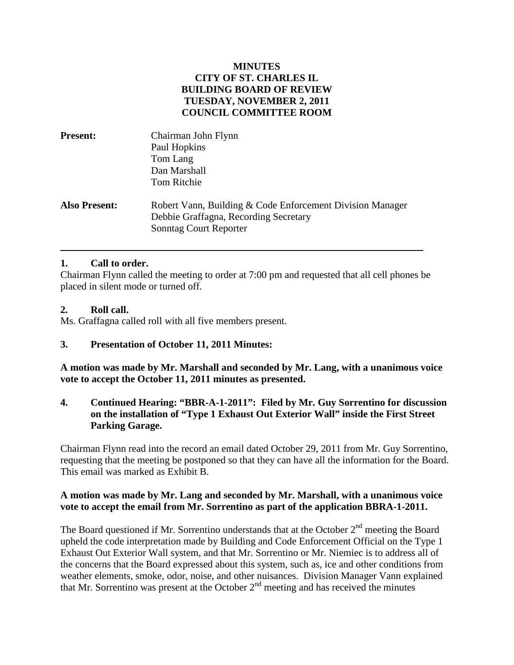### **MINUTES CITY OF ST. CHARLES IL BUILDING BOARD OF REVIEW TUESDAY, NOVEMBER 2, 2011 COUNCIL COMMITTEE ROOM**

| <b>Present:</b>      | Chairman John Flynn                                                                                                                 |
|----------------------|-------------------------------------------------------------------------------------------------------------------------------------|
|                      | Paul Hopkins                                                                                                                        |
|                      | Tom Lang                                                                                                                            |
|                      | Dan Marshall                                                                                                                        |
|                      | Tom Ritchie                                                                                                                         |
| <b>Also Present:</b> | Robert Vann, Building & Code Enforcement Division Manager<br>Debbie Graffagna, Recording Secretary<br><b>Sonntag Court Reporter</b> |

# **1. Call to order.**

Chairman Flynn called the meeting to order at 7:00 pm and requested that all cell phones be placed in silent mode or turned off.

#### **2. Roll call.**

Ms. Graffagna called roll with all five members present.

# **3. Presentation of October 11, 2011 Minutes:**

**A motion was made by Mr. Marshall and seconded by Mr. Lang, with a unanimous voice vote to accept the October 11, 2011 minutes as presented.**

# **4. Continued Hearing: "BBR-A-1-2011": Filed by Mr. Guy Sorrentino for discussion on the installation of "Type 1 Exhaust Out Exterior Wall" inside the First Street Parking Garage.**

Chairman Flynn read into the record an email dated October 29, 2011 from Mr. Guy Sorrentino, requesting that the meeting be postponed so that they can have all the information for the Board. This email was marked as Exhibit B.

### **A motion was made by Mr. Lang and seconded by Mr. Marshall, with a unanimous voice vote to accept the email from Mr. Sorrentino as part of the application BBRA-1-2011.**

The Board questioned if Mr. Sorrentino understands that at the October  $2<sup>nd</sup>$  meeting the Board upheld the code interpretation made by Building and Code Enforcement Official on the Type 1 Exhaust Out Exterior Wall system, and that Mr. Sorrentino or Mr. Niemiec is to address all of the concerns that the Board expressed about this system, such as, ice and other conditions from weather elements, smoke, odor, noise, and other nuisances. Division Manager Vann explained that Mr. Sorrentino was present at the October  $2<sup>nd</sup>$  meeting and has received the minutes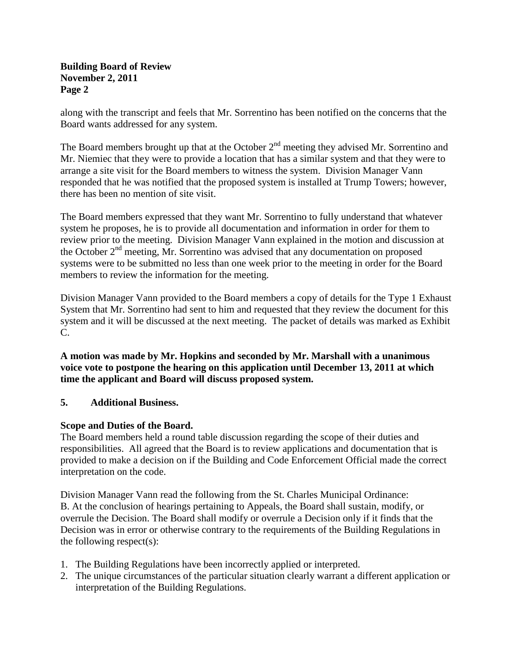### **Building Board of Review November 2, 2011 Page 2**

along with the transcript and feels that Mr. Sorrentino has been notified on the concerns that the Board wants addressed for any system.

The Board members brought up that at the October  $2<sup>nd</sup>$  meeting they advised Mr. Sorrentino and Mr. Niemiec that they were to provide a location that has a similar system and that they were to arrange a site visit for the Board members to witness the system. Division Manager Vann responded that he was notified that the proposed system is installed at Trump Towers; however, there has been no mention of site visit.

The Board members expressed that they want Mr. Sorrentino to fully understand that whatever system he proposes, he is to provide all documentation and information in order for them to review prior to the meeting. Division Manager Vann explained in the motion and discussion at the October  $2<sup>nd</sup>$  meeting, Mr. Sorrentino was advised that any documentation on proposed systems were to be submitted no less than one week prior to the meeting in order for the Board members to review the information for the meeting.

Division Manager Vann provided to the Board members a copy of details for the Type 1 Exhaust System that Mr. Sorrentino had sent to him and requested that they review the document for this system and it will be discussed at the next meeting. The packet of details was marked as Exhibit C.

**A motion was made by Mr. Hopkins and seconded by Mr. Marshall with a unanimous voice vote to postpone the hearing on this application until December 13, 2011 at which time the applicant and Board will discuss proposed system.**

# **5. Additional Business.**

# **Scope and Duties of the Board.**

The Board members held a round table discussion regarding the scope of their duties and responsibilities. All agreed that the Board is to review applications and documentation that is provided to make a decision on if the Building and Code Enforcement Official made the correct interpretation on the code.

Division Manager Vann read the following from the St. Charles Municipal Ordinance: B. At the conclusion of hearings pertaining to Appeals, the Board shall sustain, modify, or overrule the Decision. The Board shall modify or overrule a Decision only if it finds that the Decision was in error or otherwise contrary to the requirements of the Building Regulations in the following respect(s):

- 1. The Building Regulations have been incorrectly applied or interpreted.
- 2. The unique circumstances of the particular situation clearly warrant a different application or interpretation of the Building Regulations.